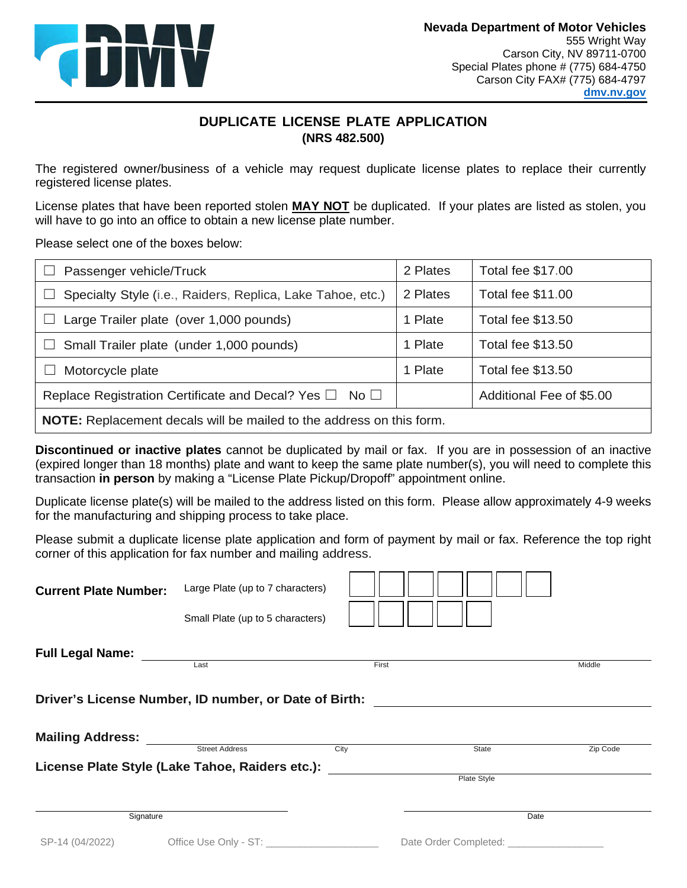

## **DUPLICATE LICENSE PLATE APPLICATION (NRS 482.500)**

 The registered owner/business of a vehicle may request duplicate license plates to replace their currently registered license plates.

registered license plates.<br>License plates that have been reported stolen <u>MAY NOT</u> be duplicated. If your plates are listed as stolen, you will have to go into an office to obtain a new license plate number.<br>Please select one of the boxes below:

| Passenger vehicle/Truck                                                     | 2 Plates | <b>Total fee \$17.00</b> |  |  |  |  |
|-----------------------------------------------------------------------------|----------|--------------------------|--|--|--|--|
| Specialty Style (i.e., Raiders, Replica, Lake Tahoe, etc.)<br>$\Box$        | 2 Plates | <b>Total fee \$11.00</b> |  |  |  |  |
| Large Trailer plate (over 1,000 pounds)                                     | 1 Plate  | <b>Total fee \$13.50</b> |  |  |  |  |
| Small Trailer plate (under 1,000 pounds)<br>€ ∐                             | 1 Plate  | <b>Total fee \$13.50</b> |  |  |  |  |
| Motorcycle plate                                                            | 1 Plate  | <b>Total fee \$13.50</b> |  |  |  |  |
| Replace Registration Certificate and Decal? Yes $\Box$ No $\Box$            |          | Additional Fee of \$5.00 |  |  |  |  |
| <b>NOTE:</b> Replacement decals will be mailed to the address on this form. |          |                          |  |  |  |  |

 **Discontinued or inactive plates** cannot be duplicated by mail or fax. If you are in possession of an inactive (expired longer than 18 months) plate and want to keep the same plate number(s), you will need to complete this transaction in person by making a "License Plate Pickup/Dropoff" appointment online.

Duplicate license plate(s) will be mailed to the address listed on this form. Please allow approximately 4-9 weeks for the manufacturing and shipping process to take place.

 corner of this application for fax number and mailing address. Please submit a duplicate license plate application and form of payment by mail or fax. Reference the top right

| Small Plate (up to 5 characters) |                               |                                                                                                          |                                                                                               |
|----------------------------------|-------------------------------|----------------------------------------------------------------------------------------------------------|-----------------------------------------------------------------------------------------------|
|                                  |                               |                                                                                                          |                                                                                               |
|                                  |                               |                                                                                                          | Middle                                                                                        |
|                                  |                               |                                                                                                          |                                                                                               |
|                                  |                               |                                                                                                          |                                                                                               |
|                                  |                               |                                                                                                          |                                                                                               |
|                                  | City                          | State                                                                                                    | Zip Code                                                                                      |
|                                  |                               |                                                                                                          |                                                                                               |
|                                  |                               | Plate Style                                                                                              |                                                                                               |
|                                  |                               |                                                                                                          | Date                                                                                          |
|                                  |                               |                                                                                                          |                                                                                               |
|                                  | Last<br><b>Street Address</b> | Driver's License Number, ID number, or Date of Birth:<br>License Plate Style (Lake Tahoe, Raiders etc.): | First<br>Date Order Completed: <b>completed</b> and the Contract of the Date Order Completed: |